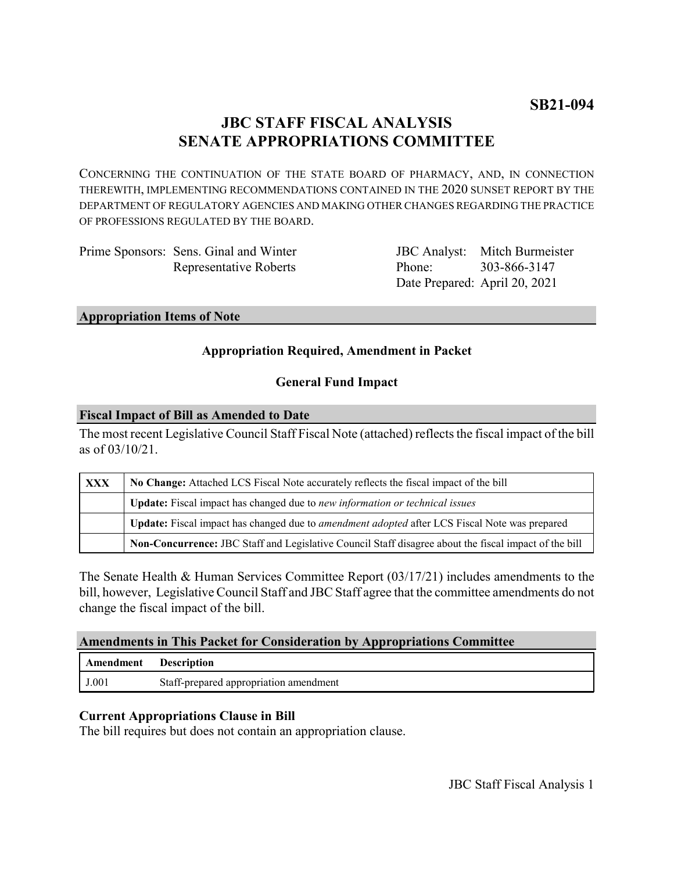# **JBC STAFF FISCAL ANALYSIS SENATE APPROPRIATIONS COMMITTEE**

CONCERNING THE CONTINUATION OF THE STATE BOARD OF PHARMACY, AND, IN CONNECTION THEREWITH, IMPLEMENTING RECOMMENDATIONS CONTAINED IN THE 2020 SUNSET REPORT BY THE DEPARTMENT OF REGULATORY AGENCIES AND MAKING OTHER CHANGES REGARDING THE PRACTICE OF PROFESSIONS REGULATED BY THE BOARD.

| Prime Sponsors: Sens. Ginal and Winter |
|----------------------------------------|
| Representative Roberts                 |

JBC Analyst: Mitch Burmeister Phone: Date Prepared: April 20, 2021 303-866-3147

#### **Appropriation Items of Note**

## **Appropriation Required, Amendment in Packet**

## **General Fund Impact**

#### **Fiscal Impact of Bill as Amended to Date**

The most recent Legislative Council Staff Fiscal Note (attached) reflects the fiscal impact of the bill as of 03/10/21.

| XXX | No Change: Attached LCS Fiscal Note accurately reflects the fiscal impact of the bill                 |  |
|-----|-------------------------------------------------------------------------------------------------------|--|
|     | <b>Update:</b> Fiscal impact has changed due to new information or technical issues                   |  |
|     | Update: Fiscal impact has changed due to <i>amendment adopted</i> after LCS Fiscal Note was prepared  |  |
|     | Non-Concurrence: JBC Staff and Legislative Council Staff disagree about the fiscal impact of the bill |  |

The Senate Health & Human Services Committee Report (03/17/21) includes amendments to the bill, however, Legislative Council Staff and JBC Staff agree that the committee amendments do not change the fiscal impact of the bill.

### **Amendments in This Packet for Consideration by Appropriations Committee**

| Amendment | <b>Description</b>                     |
|-----------|----------------------------------------|
| J.001     | Staff-prepared appropriation amendment |

## **Current Appropriations Clause in Bill**

The bill requires but does not contain an appropriation clause.